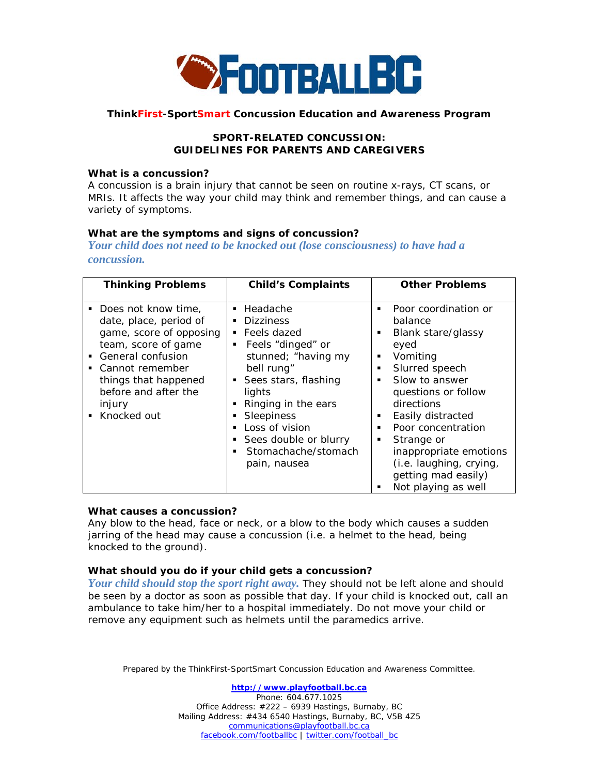

#### **ThinkFirst-SportSmart Concussion Education and Awareness Program**

# *SPORT-RELATED CONCUSSION: GUIDELINES FOR PARENTS AND CAREGIVERS*

#### *What is a concussion?*

A concussion is a brain injury that cannot be seen on routine x-rays, CT scans, or MRIs. It affects the way your child may think and remember things, and can cause a variety of symptoms.

# *What are the symptoms and signs of concussion?*

*Your child does not need to be knocked out (lose consciousness) to have had a concussion.*

| <b>Thinking Problems</b>                                                                                                                                                                                                                     | <b>Child's Complaints</b>                                                                                                                                                                                                                                            | <b>Other Problems</b>                                                                                                                                                                                                                                                                                                    |
|----------------------------------------------------------------------------------------------------------------------------------------------------------------------------------------------------------------------------------------------|----------------------------------------------------------------------------------------------------------------------------------------------------------------------------------------------------------------------------------------------------------------------|--------------------------------------------------------------------------------------------------------------------------------------------------------------------------------------------------------------------------------------------------------------------------------------------------------------------------|
| ■ Does not know time,<br>date, place, period of<br>game, score of opposing<br>team, score of game<br>General confusion<br>٠<br>Cannot remember<br>$\mathbf{r}$<br>things that happened<br>before and after the<br>injury<br>Knocked out<br>٠ | • Headache<br><b>Dizziness</b><br>Feels dazed<br>Feels "dinged" or<br>stunned; "having my<br>bell rung"<br>• Sees stars, flashing<br>lights<br>Ringing in the ears<br>Sleepiness<br>Loss of vision<br>• Sees double or blurry<br>Stomachache/stomach<br>pain, nausea | Poor coordination or<br>balance<br>Blank stare/glassy<br>٠<br>eyed<br>Vomiting<br>Slurred speech<br>Slow to answer<br>questions or follow<br>directions<br>Easily distracted<br>Poor concentration<br>Strange or<br>٠<br>inappropriate emotions<br>(i.e. laughing, crying,<br>getting mad easily)<br>Not playing as well |

# *What causes a concussion?*

Any blow to the head, face or neck, or a blow to the body which causes a sudden jarring of the head may cause a concussion (i.e. a helmet to the head, being knocked to the ground).

# *What should you do if your child gets a concussion?*

*Your child should stop the sport right away.* They should not be left alone and should be seen by a doctor as soon as possible that day. If your child is knocked out, call an ambulance to take him/her to a hospital immediately. Do not move your child or remove any equipment such as helmets until the paramedics arrive.

Prepared by the ThinkFirst-SportSmart Concussion Education and Awareness Committee.

**[http://www.playfootball.bc.ca](http://www.playfootball.bc.ca/)** Phone: 604.677.1025 Office Address: #222 – 6939 Hastings, Burnaby, BC Mailing Address: #434 6540 Hastings, Burnaby, BC, V5B 4Z5 [communications@playfootball.bc.ca](mailto:communications@playfootball.bc.ca) [facebook.com/footballbc](http://www.facebook.com/footballbc) | [twitter.com/football\\_bc](http://twitter.com/football_bc)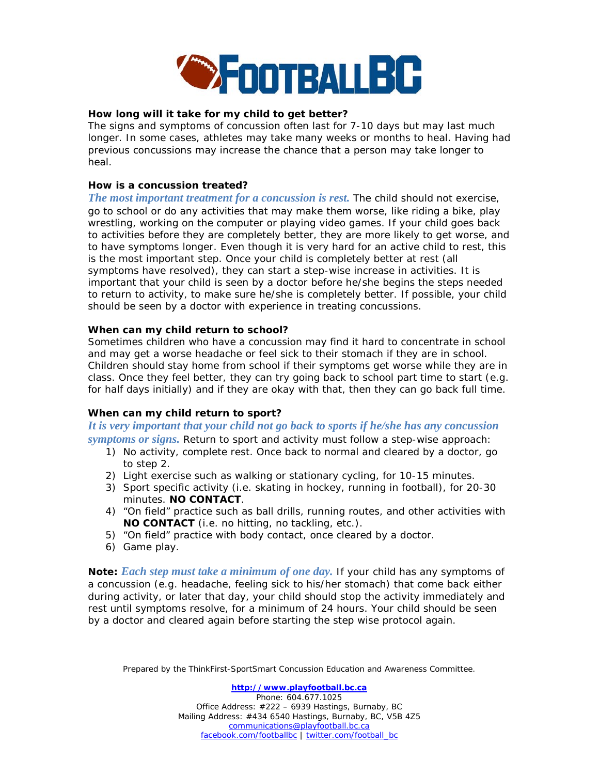

# *How long will it take for my child to get better?*

The signs and symptoms of concussion often last for 7-10 days but may last much longer. In some cases, athletes may take many weeks or months to heal. Having had previous concussions may increase the chance that a person may take longer to heal.

# *How is a concussion treated?*

*The most important treatment for a concussion is rest.* The child should not exercise, go to school or do any activities that may make them worse, like riding a bike, play wrestling, working on the computer or playing video games. If your child goes back to activities before they are completely better, they are more likely to get worse, and to have symptoms longer. Even though it is very hard for an active child to rest, this is the most important step. Once your child is completely better at rest (all symptoms have resolved), they can start a step-wise increase in activities. It is important that your child is seen by a doctor before he/she begins the steps needed to return to activity, to make sure he/she is completely better. If possible, your child should be seen by a doctor with experience in treating concussions.

# *When can my child return to school?*

Sometimes children who have a concussion may find it hard to concentrate in school and may get a worse headache or feel sick to their stomach if they are in school. Children should stay home from school if their symptoms get worse while they are in class. Once they feel better, they can try going back to school part time to start (e.g. for half days initially) and if they are okay with that, then they can go back full time.

# *When can my child return to sport?*

*It is very important that your child not go back to sports if he/she has any concussion symptoms or signs.* Return to sport and activity must follow a step-wise approach:

- 1) No activity, complete rest. Once back to normal and cleared by a doctor, go to step 2.
- 2) Light exercise such as walking or stationary cycling, for 10-15 minutes.
- 3) Sport specific activity (i.e. skating in hockey, running in football), for 20-30 minutes. **NO CONTACT**.
- 4) "On field" practice such as ball drills, running routes, and other activities with **NO CONTACT** (i.e. no hitting, no tackling, etc.).
- 5) "On field" practice with body contact, once cleared by a doctor.
- 6) Game play.

*Note: Each step must take a minimum of one day.* If your child has any symptoms of a concussion (e.g. headache, feeling sick to his/her stomach) that come back either during activity, or later that day, your child should stop the activity immediately and rest until symptoms resolve, for a minimum of 24 hours. Your child should be seen by a doctor and cleared again before starting the step wise protocol again.

Prepared by the ThinkFirst-SportSmart Concussion Education and Awareness Committee.

**[http://www.playfootball.bc.ca](http://www.playfootball.bc.ca/)** Phone: 604.677.1025 Office Address: #222 – 6939 Hastings, Burnaby, BC Mailing Address: #434 6540 Hastings, Burnaby, BC, V5B 4Z5 [communications@playfootball.bc.ca](mailto:communications@playfootball.bc.ca) [facebook.com/footballbc](http://www.facebook.com/footballbc) | [twitter.com/football\\_bc](http://twitter.com/football_bc)